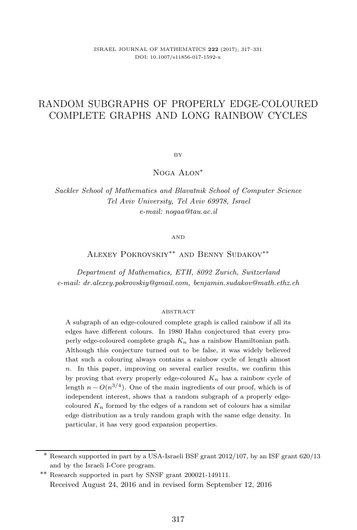# RANDOM SUBGRAPHS OF PROPERLY EDGE-COLOURED COMPLETE GRAPHS AND LONG RAINBOW CYCLES

BY

Noga Alon<sup>∗</sup>

*Sackler School of Mathematics and Blavatnik School of Computer Science Tel Aviv University, Tel Aviv 69978, Israel e-mail: nogaa@tau.ac.il*

AND

# Alexey Pokrovskiy∗∗ and Benny Sudakov∗∗

*Department of Mathematics, ETH, 8092 Zurich, Switzerland e-mail: dr.alexey.pokrovskiy@gmail.com, benjamin.sudakov@math.ethz.ch*

#### ABSTRACT

A subgraph of an edge-coloured complete graph is called rainbow if all its edges have different colours. In 1980 Hahn conjectured that every properly edge-coloured complete graph *K<sup>n</sup>* has a rainbow Hamiltonian path. Although this conjecture turned out to be false, it was widely believed that such a colouring always contains a rainbow cycle of length almost *n*. In this paper, improving on several earlier results, we confirm this by proving that every properly edge-coloured  $K_n$  has a rainbow cycle of length  $n - O(n^{3/4})$ . One of the main ingredients of our proof, which is of independent interest, shows that a random subgraph of a properly edgecoloured  $K_n$  formed by the edges of a random set of colours has a similar edge distribution as a truly random graph with the same edge density. In particular, it has very good expansion properties.

<sup>∗</sup> Research supported in part by a USA-Israeli BSF grant 2012/107, by an ISF grant 620/13 and by the Israeli I-Core program.

<sup>∗∗</sup> Research supported in part by SNSF grant 200021-149111. Received August 24, 2016 and in revised form September 12, 2016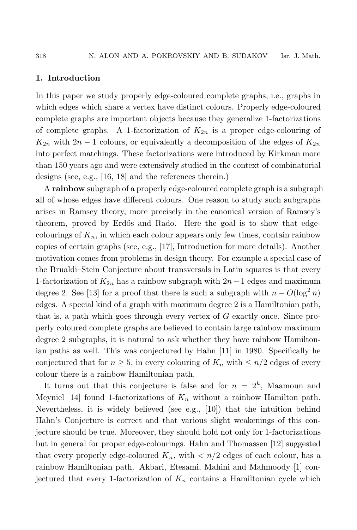## **1. Introduction**

In this paper we study properly edge-coloured complete graphs, i.e., graphs in which edges which share a vertex have distinct colours. Properly edge-coloured complete graphs are important objects because they generalize 1-factorizations of complete graphs. A 1-factorization of  $K_{2n}$  is a proper edge-colouring of  $K_{2n}$  with  $2n-1$  colours, or equivalently a decomposition of the edges of  $K_{2n}$ into perfect matchings. These factorizations were introduced by Kirkman more than 150 years ago and were extensively studied in the context of combinatorial designs (see, e.g., [16, 18] and the references therein.)

A **rainbow** subgraph of a properly edge-coloured complete graph is a subgraph all of whose edges have different colours. One reason to study such subgraphs arises in Ramsey theory, more precisely in the canonical version of Ramsey's theorem, proved by Erdős and Rado. Here the goal is to show that edgecolourings of  $K_n$ , in which each colour appears only few times, contain rainbow copies of certain graphs (see, e.g., [17], Introduction for more details). Another motivation comes from problems in design theory. For example a special case of the Brualdi–Stein Conjecture about transversals in Latin squares is that every 1-factorization of  $K_{2n}$  has a rainbow subgraph with  $2n-1$  edges and maximum degree 2. See [13] for a proof that there is such a subgraph with  $n - O(\log^2 n)$ edges. A special kind of a graph with maximum degree 2 is a Hamiltonian path, that is, a path which goes through every vertex of G exactly once. Since properly coloured complete graphs are believed to contain large rainbow maximum degree 2 subgraphs, it is natural to ask whether they have rainbow Hamiltonian paths as well. This was conjectured by Hahn [11] in 1980. Specifically he conjectured that for  $n \geq 5$ , in every colouring of  $K_n$  with  $\leq n/2$  edges of every colour there is a rainbow Hamiltonian path.

It turns out that this conjecture is false and for  $n = 2<sup>k</sup>$ , Maamoun and Meyniel [14] found 1-factorizations of  $K_n$  without a rainbow Hamilton path. Nevertheless, it is widely believed (see e.g., [10]) that the intuition behind Hahn's Conjecture is correct and that various slight weakenings of this conjecture should be true. Moreover, they should hold not only for 1-factorizations but in general for proper edge-colourings. Hahn and Thomassen [12] suggested that every properly edge-coloured  $K_n$ , with  $\langle n/2 \rangle$  edges of each colour, has a rainbow Hamiltonian path. Akbari, Etesami, Mahini and Mahmoody [1] conjectured that every 1-factorization of  $K_n$  contains a Hamiltonian cycle which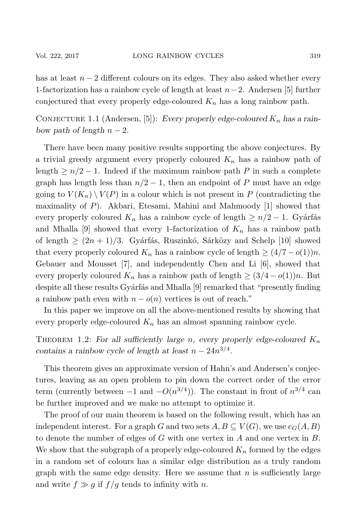has at least  $n-2$  different colours on its edges. They also asked whether every 1-factorization has a rainbow cycle of length at least  $n-2$ . Andersen [5] further conjectured that every properly edge-coloured  $K_n$  has a long rainbow path.

CONJECTURE 1.1 (Andersen, [5]): *Every properly edge-coloured*  $K_n$  *has a rainbow path of length*  $n-2$ *.* 

There have been many positive results supporting the above conjectures. By a trivial greedy argument every properly coloured  $K_n$  has a rainbow path of length  $\geq n/2 - 1$ . Indeed if the maximum rainbow path P in such a complete graph has length less than  $n/2 - 1$ , then an endpoint of P must have an edge going to  $V(K_n) \setminus V(P)$  in a colour which is not present in P (contradicting the maximality of P). Akbari, Etesami, Mahini and Mahmoody [1] showed that every properly coloured  $K_n$  has a rainbow cycle of length  $\geq n/2 - 1$ . Gyárfás and Mhalla [9] showed that every 1-factorization of  $K_n$  has a rainbow path of length  $\geq (2n + 1)/3$ . Gyárfás, Ruszinkó, Sárközy and Schelp [10] showed that every properly coloured  $K_n$  has a rainbow cycle of length  $\geq (4/7 - o(1))n$ . Gebauer and Mousset [7], and independently Chen and Li [6], showed that every properly coloured  $K_n$  has a rainbow path of length  $\geq (3/4 - o(1))n$ . But despite all these results Gyárfás and Mhalla [9] remarked that "presently finding a rainbow path even with  $n - o(n)$  vertices is out of reach."

In this paper we improve on all the above-mentioned results by showing that every properly edge-coloured  $K_n$  has an almost spanning rainbow cycle.

THEOREM 1.2: For all sufficiently large n, every properly edge-coloured  $K_n$ *contains a rainbow cycle of length at least*  $n - 24n^{3/4}$ .

This theorem gives an approximate version of Hahn's and Andersen's conjectures, leaving as an open problem to pin down the correct order of the error term (currently between  $-1$  and  $-O(n^{3/4})$ ). The constant in front of  $n^{3/4}$  can be further improved and we make no attempt to optimize it.

The proof of our main theorem is based on the following result, which has an independent interest. For a graph G and two sets  $A, B \subseteq V(G)$ , we use  $e_G(A, B)$ to denote the number of edges of  $G$  with one vertex in  $A$  and one vertex in  $B$ . We show that the subgraph of a properly edge-coloured  $K_n$  formed by the edges in a random set of colours has a similar edge distribution as a truly random graph with the same edge density. Here we assume that  $n$  is sufficiently large and write  $f \gg g$  if  $f/g$  tends to infinity with n.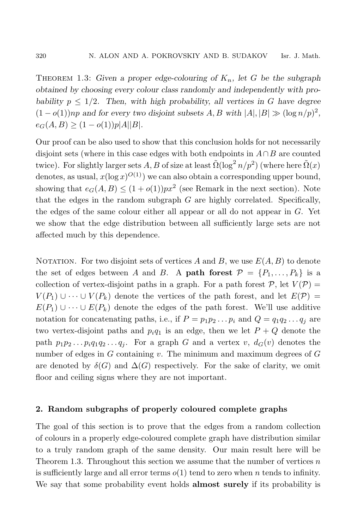THEOREM 1.3: Given a proper edge-colouring of  $K_n$ , let G be the subgraph *obtained by choosing every colour class randomly and independently with probability*  $p \leq 1/2$ *. Then, with high probability, all vertices in G have degree*  $(1 - o(1))np$  and for every two disjoint subsets A, B with  $|A|, |B| \gg (\log n/p)^2$ ,  $e_G(A, B) \ge (1 - o(1))p|A||B|$ .

Our proof can be also used to show that this conclusion holds for not necessarily disjoint sets (where in this case edges with both endpoints in  $A \cap B$  are counted twice). For slightly larger sets A, B of size at least  $\tilde{\Omega}(\log^2 n/p^2)$  (where here  $\tilde{\Omega}(x)$ ) denotes, as usual,  $x(\log x)^{O(1)}$  we can also obtain a corresponding upper bound, showing that  $e_G(A, B) \leq (1 + o(1))px^2$  (see Remark in the next section). Note that the edges in the random subgraph  $G$  are highly correlated. Specifically, the edges of the same colour either all appear or all do not appear in G. Yet we show that the edge distribution between all sufficiently large sets are not affected much by this dependence.

NOTATION. For two disjoint sets of vertices A and B, we use  $E(A, B)$  to denote the set of edges between A and B. A **path forest**  $\mathcal{P} = \{P_1, \ldots, P_k\}$  is a collection of vertex-disjoint paths in a graph. For a path forest  $P$ , let  $V(P)$  =  $V(P_1) \cup \cdots \cup V(P_k)$  denote the vertices of the path forest, and let  $E(\mathcal{P}) =$  $E(P_1) \cup \cdots \cup E(P_k)$  denote the edges of the path forest. We'll use additive notation for concatenating paths, i.e., if  $P = p_1p_2 \ldots p_i$  and  $Q = q_1q_2 \ldots q_i$  are two vertex-disjoint paths and  $p_iq_1$  is an edge, then we let  $P + Q$  denote the path  $p_1p_2 \ldots p_iq_1q_2 \ldots q_i$ . For a graph G and a vertex  $v, d_G(v)$  denotes the number of edges in  $G$  containing v. The minimum and maximum degrees of  $G$ are denoted by  $\delta(G)$  and  $\Delta(G)$  respectively. For the sake of clarity, we omit floor and ceiling signs where they are not important.

## **2. Random subgraphs of properly coloured complete graphs**

The goal of this section is to prove that the edges from a random collection of colours in a properly edge-coloured complete graph have distribution similar to a truly random graph of the same density. Our main result here will be Theorem 1.3. Throughout this section we assume that the number of vertices  $n$ is sufficiently large and all error terms  $o(1)$  tend to zero when n tends to infinity. We say that some probability event holds **almost surely** if its probability is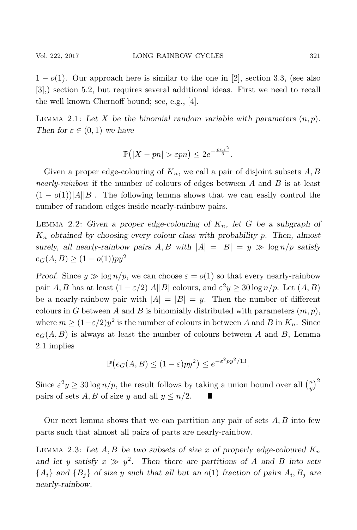$1 - o(1)$ . Our approach here is similar to the one in [2], section 3.3, (see also [3],) section 5.2, but requires several additional ideas. First we need to recall the well known Chernoff bound; see, e.g., [4].

LEMMA 2.1: Let X be the binomial random variable with parameters  $(n, p)$ . *Then for*  $\varepsilon \in (0,1)$  *we have* 

$$
\mathbb{P}(|X - pn| > \varepsilon pn) \le 2e^{-\frac{pn\varepsilon^2}{3}}.
$$

Given a proper edge-colouring of  $K_n$ , we call a pair of disjoint subsets A, B *nearly-rainbow* if the number of colours of edges between A and B is at least  $(1 - o(1))$ |A||B|. The following lemma shows that we can easily control the number of random edges inside nearly-rainbow pairs.

LEMMA 2.2: Given a proper edge-colouring of  $K_n$ , let G be a subgraph of K<sup>n</sup> *obtained by choosing every colour class with probability* p*. Then, almost surely, all nearly-rainbow pairs*  $A, B$  *with*  $|A| = |B| = y \gg \log n/p$  *satisfy*  $e_G(A, B) \ge (1 - o(1))py^2$ 

*Proof.* Since  $y \gg \log n/p$ , we can choose  $\varepsilon = o(1)$  so that every nearly-rainbow pair A, B has at least  $(1 - \varepsilon/2)|A||B|$  colours, and  $\varepsilon^2 y \ge 30 \log n/p$ . Let  $(A, B)$ be a nearly-rainbow pair with  $|A| = |B| = y$ . Then the number of different colours in G between A and B is binomially distributed with parameters  $(m, p)$ , where  $m \ge (1 - \varepsilon/2)y^2$  is the number of colours in between A and B in  $K_n$ . Since  $e_G(A, B)$  is always at least the number of colours between A and B, Lemma 2.1 implies

$$
\mathbb{P}(e_G(A, B) \le (1 - \varepsilon)py^2) \le e^{-\varepsilon^2 py^2/13}.
$$

Since  $\varepsilon^2 y \ge 30 \log n/p$ , the result follows by taking a union bound over all  $\binom{n}{y}^2$ pairs of sets A, B of size y and all  $y \leq n/2$ .

Our next lemma shows that we can partition any pair of sets  $A, B$  into few parts such that almost all pairs of parts are nearly-rainbow.

LEMMA 2.3: Let  $A, B$  be two subsets of size x of properly edge-coloured  $K_n$ and let y satisfy  $x \gg y^2$ . Then there are partitions of A and B into sets  ${A_i}$  and  ${B_i}$  of size y such that all but an  $o(1)$  fraction of pairs  $A_i, B_j$  are *nearly-rainbow.*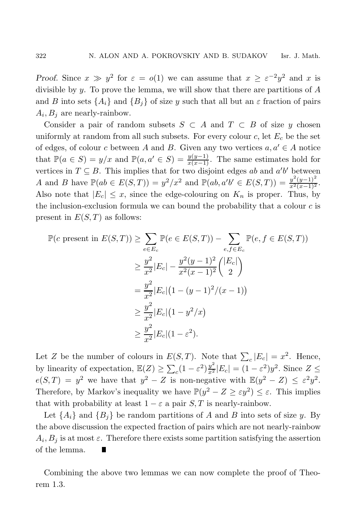*Proof.* Since  $x \gg y^2$  for  $\varepsilon = o(1)$  we can assume that  $x \geq \varepsilon^{-2}y^2$  and x is divisible by  $y$ . To prove the lemma, we will show that there are partitions of  $A$ and B into sets  $\{A_i\}$  and  $\{B_j\}$  of size y such that all but an  $\varepsilon$  fraction of pairs  $A_i, B_j$  are nearly-rainbow.

Consider a pair of random subsets  $S \subset A$  and  $T \subset B$  of size y chosen uniformly at random from all such subsets. For every colour  $c$ , let  $E_c$  be the set of edges, of colour c between A and B. Given any two vertices  $a, a' \in A$  notice that  $\mathbb{P}(a \in S) = y/x$  and  $\mathbb{P}(a, a' \in S) = \frac{y(y-1)}{x(x-1)}$ . The same estimates hold for vertices in  $T \subseteq B$ . This implies that for two disjoint edges about  $a'b'$  between vertices in  $T \subseteq B$ . This implies that for two disjoint edges ab and a'b' between A and B have  $\mathbb{P}(ab \in E(S,T)) = y^2/x^2$  and  $\mathbb{P}(ab, a'b' \in E(S,T)) = \frac{y^2(y-1)^2}{x^2(x-1)^2}$ . Also note that  $|E_c| \leq x$ , since the edge-colouring on  $K_n$  is proper. Thus, by the inclusion-exclusion formula we can bound the probability that a colour  $c$  is present in  $E(S,T)$  as follows:

$$
\mathbb{P}(c \text{ present in } E(S,T)) \ge \sum_{e \in E_c} \mathbb{P}(e \in E(S,T)) - \sum_{e,f \in E_c} \mathbb{P}(e, f \in E(S,T))
$$
  
\n
$$
\ge \frac{y^2}{x^2} |E_c| - \frac{y^2(y-1)^2}{x^2(x-1)^2} {E_c|
$$
  
\n
$$
= \frac{y^2}{x^2} |E_c| (1 - (y-1)^2/(x-1))
$$
  
\n
$$
\ge \frac{y^2}{x^2} |E_c| (1 - y^2/x)
$$
  
\n
$$
\ge \frac{y^2}{x^2} |E_c| (1 - \varepsilon^2).
$$

Let Z be the number of colours in  $E(S,T)$ . Note that  $\sum_c |E_c| = x^2$ . Hence, by linearity of expectation,  $\mathbb{E}(Z) \ge \sum_{c} (1 - \varepsilon^2) \frac{y^2}{x^2} |E_c| = (1 - \varepsilon^2) y^2$ . Since  $Z \le$  $e(S,T) = y^2$  we have that  $y^2 - Z$  is non-negative with  $\mathbb{E}(y^2 - Z) \leq \varepsilon^2 y^2$ . Therefore, by Markov's inequality we have  $\mathbb{P}(y^2 - Z \geq \varepsilon y^2) \leq \varepsilon$ . This implies that with probability at least  $1 - \varepsilon$  a pair S, T is nearly-rainbow.

Let  $\{A_i\}$  and  $\{B_j\}$  be random partitions of A and B into sets of size y. By the above discussion the expected fraction of pairs which are not nearly-rainbow  $A_i, B_j$  is at most  $\varepsilon$ . Therefore there exists some partition satisfying the assertion of the lemma. H.

Combining the above two lemmas we can now complete the proof of Theorem 1.3.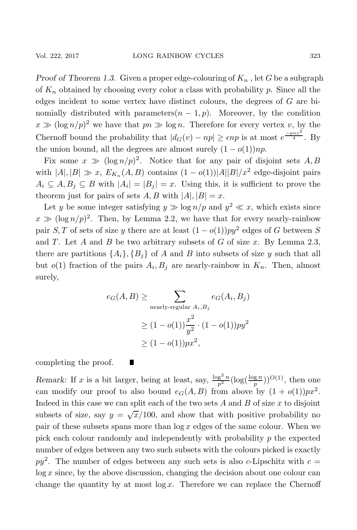*Proof of Theorem 1.3.* Given a proper edge-colouring of  $K_n$ , let G be a subgraph of  $K_n$  obtained by choosing every color a class with probability p. Since all the edges incident to some vertex have distinct colours, the degrees of G are binomially distributed with parameters $(n - 1, p)$ . Moreover, by the condition  $x \gg (\log n/p)^2$  we have that  $pn \gg \log n$ . Therefore for every vertex v, by the Chernoff bound the probability that  $|d_G(v) - np| \ge \epsilon n p$  is at most  $e^{\frac{-p n \epsilon^2}{4}}$ . By the union bound, all the degrees are almost surely  $(1 - o(1))np$ .

Fix some  $x \gg (\log n/p)^2$ . Notice that for any pair of disjoint sets A, B with  $|A|, |B| \gg x$ ,  $E_{K_n}(A, B)$  contains  $(1 - o(1))|A||B|/x^2$  edge-disjoint pairs  $A_i \subseteq A, B_j \subseteq B$  with  $|A_i| = |B_j| = x$ . Using this, it is sufficient to prove the theorem just for pairs of sets  $A, B$  with  $|A|, |B| = x$ .

Let y be some integer satisfying  $y \gg \log n/p$  and  $y^2 \ll x$ , which exists since  $x \gg (\log n/p)^2$ . Then, by Lemma 2.2, we have that for every nearly-rainbow pair S, T of sets of size y there are at least  $(1 - o(1))py^2$  edges of G between S and  $T$ . Let  $A$  and  $B$  be two arbitrary subsets of  $G$  of size  $x$ . By Lemma 2.3, there are partitions  $\{A_i\}, \{B_i\}$  of A and B into subsets of size y such that all but  $o(1)$  fraction of the pairs  $A_i, B_j$  are nearly-rainbow in  $K_n$ . Then, almost surely,

$$
e_G(A, B) \ge \sum_{\text{nearly-regular } A_i, B_j} e_G(A_i, B_j)
$$
  
 
$$
\ge (1 - o(1)) \frac{x^2}{y^2} \cdot (1 - o(1)) py^2
$$
  
 
$$
\ge (1 - o(1)) px^2,
$$

completing the proof.

*Remark:* If x is a bit larger, being at least, say,  $\frac{\log^2 n}{p^2} (\log(\frac{\log n}{p}))^{O(1)}$ , then one can modify our proof to also bound  $e_G(A, B)$  from above by  $(1 + o(1))px^2$ . Indeed in this case we can split each of the two sets  $A$  and  $B$  of size  $x$  to disjoint subsets of size, say  $y = \sqrt{x}/100$ , and show that with positive probability no pair of these subsets spans more than  $\log x$  edges of the same colour. When we pick each colour randomly and independently with probability  $p$  the expected number of edges between any two such subsets with the colours picked is exactly  $py^2$ . The number of edges between any such sets is also c-Lipschitz with  $c =$  $log x$  since, by the above discussion, changing the decision about one colour can change the quantity by at most  $\log x$ . Therefore we can replace the Chernoff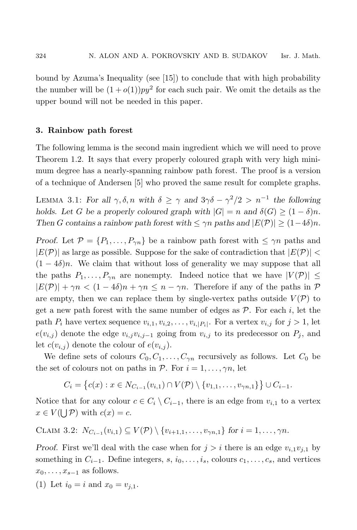bound by Azuma's Inequality (see [15]) to conclude that with high probability the number will be  $(1+o(1))py^2$  for each such pair. We omit the details as the upper bound will not be needed in this paper.

#### **3. Rainbow path forest**

The following lemma is the second main ingredient which we will need to prove Theorem 1.2. It says that every properly coloured graph with very high minimum degree has a nearly-spanning rainbow path forest. The proof is a version of a technique of Andersen [5] who proved the same result for complete graphs.

LEMMA 3.1: *For all*  $\gamma$ ,  $\delta$ , *n with*  $\delta \geq \gamma$  *and*  $3\gamma \delta - \gamma^2/2 > n^{-1}$  *the following holds. Let* G *be a properly coloured graph with*  $|G| = n$  *and*  $\delta(G) \geq (1 - \delta)n$ *. Then G* contains a rainbow path forest with  $\leq \gamma n$  paths and  $|E(\mathcal{P})| \geq (1-4\delta)n$ .

*Proof.* Let  $P = \{P_1, \ldots, P_{\gamma n}\}\$ be a rainbow path forest with  $\leq \gamma n$  paths and  $|E(\mathcal{P})|$  as large as possible. Suppose for the sake of contradiction that  $|E(\mathcal{P})|$  $(1 - 4\delta)n$ . We claim that without loss of generality we may suppose that all the paths  $P_1,\ldots,P_{\gamma n}$  are nonempty. Indeed notice that we have  $|V(\mathcal{P})| \leq$  $|E(\mathcal{P})| + \gamma n < (1 - 4\delta)n + \gamma n \leq n - \gamma n$ . Therefore if any of the paths in  $\mathcal{P}$ are empty, then we can replace them by single-vertex paths outside  $V(\mathcal{P})$  to get a new path forest with the same number of edges as  $P$ . For each i, let the path  $P_i$  have vertex sequence  $v_{i,1}, v_{i,2}, \ldots, v_{i,|P_i|}$ . For a vertex  $v_{i,j}$  for  $j > 1$ , let  $e(v_{i,j})$  denote the edge  $v_{i,j}v_{i,j-1}$  going from  $v_{i,j}$  to its predecessor on  $P_j$ , and let  $c(v_{i,j})$  denote the colour of  $e(v_{i,j})$ .

We define sets of colours  $C_0, C_1, \ldots, C_{\gamma n}$  recursively as follows. Let  $C_0$  be the set of colours not on paths in  $P$ . For  $i = 1, \ldots, \gamma n$ , let

$$
C_i = \{c(x) : x \in N_{C_{i-1}}(v_{i,1}) \cap V(\mathcal{P}) \setminus \{v_{1,1}, \ldots, v_{\gamma n,1}\}\} \cup C_{i-1}.
$$

Notice that for any colour  $c \in C_i \setminus C_{i-1}$ , there is an edge from  $v_{i,1}$  to a vertex  $x \in V(\bigcup \mathcal{P})$  with  $c(x) = c$ .

$$
\text{CLAIM 3.2: } N_{C_{i-1}}(v_{i,1}) \subseteq V(\mathcal{P}) \setminus \{v_{i+1,1},\ldots,v_{\gamma n,1}\} \text{ for } i=1,\ldots,\gamma n.
$$

*Proof.* First we'll deal with the case when for  $j>i$  there is an edge  $v_{i,1}v_{j,1}$  by something in  $C_{i-1}$ . Define integers, s,  $i_0, \ldots, i_s$ , colours  $c_1, \ldots, c_s$ , and vertices  $x_0,\ldots,x_{s-1}$  as follows.

(1) Let  $i_0 = i$  and  $x_0 = v_{i,1}$ .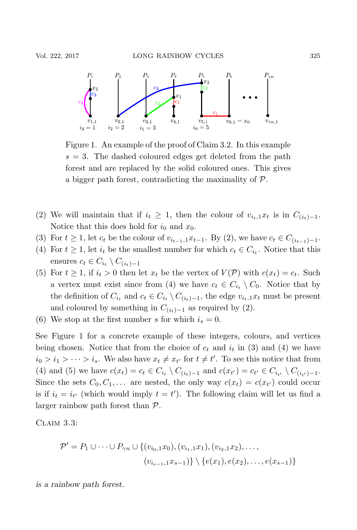

Figure 1. An example of the proof of Claim 3.2. In this example  $s = 3$ . The dashed coloured edges get deleted from the path forest and are replaced by the solid coloured ones. This gives a bigger path forest, contradicting the maximality of  $\mathcal{P}$ .

- (2) We will maintain that if  $i_t \geq 1$ , then the colour of  $v_{i_t,1}x_t$  is in  $C_{(i_t)-1}$ . Notice that this does hold for  $i_0$  and  $x_0$ .
- (3) For  $t \ge 1$ , let  $c_t$  be the colour of  $v_{i_{t-1},1}x_{t-1}$ . By (2), we have  $c_t \in C_{(i_{t-1})-1}$ .
- (4) For  $t \geq 1$ , let  $i_t$  be the smallest number for which  $c_t \in C_{i_t}$ . Notice that this ensures  $c_t \in C_{i_t} \setminus C_{(i_t)-1}$
- (5) For  $t \geq 1$ , if  $i_t > 0$  then let  $x_t$  be the vertex of  $V(\mathcal{P})$  with  $c(x_t) = c_t$ . Such a vertex must exist since from (4) we have  $c_t \in C_{i_t} \setminus C_0$ . Notice that by the definition of  $C_{i_t}$  and  $c_t \in C_{i_t} \setminus C_{(i_t)-1}$ , the edge  $v_{i_t,1}x_t$  must be present and coloured by something in  $C_{(i_t)-1}$  as required by (2).
- (6) We stop at the first number s for which  $i_s = 0$ .

See Figure 1 for a concrete example of these integers, colours, and vertices being chosen. Notice that from the choice of  $c_t$  and  $i_t$  in (3) and (4) we have  $i_0 > i_1 > \cdots > i_s$ . We also have  $x_t \neq x_{t'}$  for  $t \neq t'$ . To see this notice that from (4) and (5) we have  $c(x_t) = c_t \in C_{i_t} \setminus C_{(i_t)-1}$  and  $c(x_{t'}) = c_{t'} \in C_{i_{t'}} \setminus C_{(i_{t'})-1}$ . Since the sets  $C_0, C_1, \ldots$  are nested, the only way  $c(x_t) = c(x_{t'})$  could occur is if  $i_t = i_{t'}$  (which would imply  $t = t'$ ). The following claim will let us find a larger rainbow path forest than P.

CLAIM 3.3:

$$
\mathcal{P}' = P_1 \cup \cdots \cup P_{\gamma n} \cup \{(v_{i_0,1}x_0), (v_{i_1,1}x_1), (v_{i_2,1}x_2), \ldots, (v_{i_{s-1},1}x_{s-1})\} \setminus \{e(x_1), e(x_2), \ldots, e(x_{s-1})\}
$$

*is a rainbow path forest.*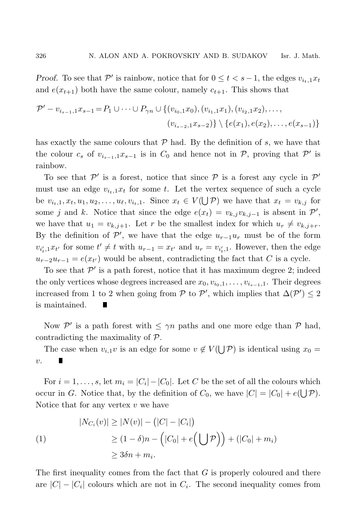*Proof.* To see that  $\mathcal{P}'$  is rainbow, notice that for  $0 \leq t < s-1$ , the edges  $v_{i_t,1}x_t$ and  $e(x_{t+1})$  both have the same colour, namely  $c_{t+1}$ . This shows that

$$
\mathcal{P}' - v_{i_{s-1},1}x_{s-1} = P_1 \cup \cdots \cup P_{\gamma n} \cup \{(v_{i_0,1}x_0), (v_{i_1,1}x_1), (v_{i_2,1}x_2), \ldots, (v_{i_{s-1},1}x_{s-2})\} \setminus \{e(x_1), e(x_2), \ldots, e(x_{s-1})\}
$$

has exactly the same colours that  $P$  had. By the definition of s, we have that the colour  $c_s$  of  $v_{i_{s-1},1}x_{s-1}$  is in  $C_0$  and hence not in  $\mathcal{P}$ , proving that  $\mathcal{P}'$  is rainbow.

To see that  $\mathcal{P}'$  is a forest, notice that since  $\mathcal P$  is a forest any cycle in  $\mathcal P'$ must use an edge  $v_{i_t,1}x_t$  for some t. Let the vertex sequence of such a cycle be  $v_{i_t,1}, x_t, u_1, u_2, \ldots, u_\ell, v_{i_t,1}$ . Since  $x_t \in V(\bigcup \mathcal{P})$  we have that  $x_t = v_{k,j}$  for some j and k. Notice that since the edge  $e(x_t) = v_{k,j}v_{k,j-1}$  is absent in  $\mathcal{P}'$ , we have that  $u_1 = v_{k,j+1}$ . Let r be the smallest index for which  $u_r \neq v_{k,j+r}$ . By the definition of  $\mathcal{P}'$ , we have that the edge  $u_{r-1}u_r$  must be of the form  $v_{i'_t,1}x_{t'}$  for some  $t' \neq t$  with  $u_{r-1} = x_{t'}$  and  $u_r = v_{i'_t,1}$ . However, then the edge  $u_{r-2}u_{r-1} = e(x_{t'})$  would be absent, contradicting the fact that C is a cycle.

To see that  $\mathcal{P}'$  is a path forest, notice that it has maximum degree 2; indeed the only vertices whose degrees increased are  $x_0, v_{i_0,1}, \ldots, v_{i_{s-1},1}$ . Their degrees increased from 1 to 2 when going from  $P$  to  $P'$ , which implies that  $\Delta(P') \leq 2$ is maintained.

Now P' is a path forest with  $\leq \gamma n$  paths and one more edge than P had, contradicting the maximality of P.

The case when  $v_{i,1}v$  is an edge for some  $v \notin V(\bigcup \mathcal{P})$  is identical using  $x_0 =$  $v$ .

For  $i = 1, \ldots, s$ , let  $m_i = |C_i| - |C_0|$ . Let C be the set of all the colours which occur in G. Notice that, by the definition of  $C_0$ , we have  $|C| = |C_0| + e(\bigcup \mathcal{P})$ . Notice that for any vertex  $v$  we have

$$
|N_{C_i}(v)| \ge |N(v)| - (|C| - |C_i|)
$$
  
(1)  

$$
\ge (1 - \delta)n - (|C_0| + e(\bigcup \mathcal{P})) + (|C_0| + m_i)
$$
  

$$
\ge 3\delta n + m_i.
$$

The first inequality comes from the fact that  $G$  is properly coloured and there are  $|C|-|C_i|$  colours which are not in  $C_i$ . The second inequality comes from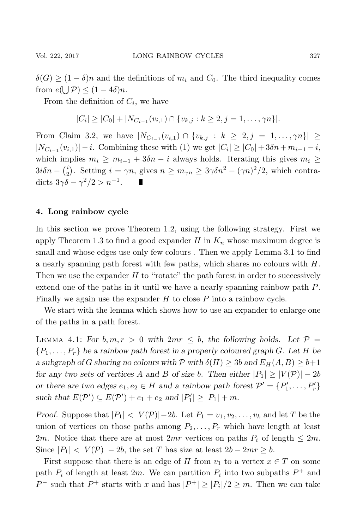$\delta(G) \geq (1-\delta)n$  and the definitions of  $m_i$  and  $C_0$ . The third inequality comes from  $e(\bigcup \mathcal{P}) \leq (1-4\delta)n$ .

From the definition of  $C_i$ , we have

$$
|C_i| \geq |C_0| + |N_{C_{i-1}}(v_{i,1}) \cap \{v_{k,j} : k \geq 2, j = 1, \ldots, \gamma n\}|.
$$

From Claim 3.2, we have  $|N_{C_{i-1}}(v_{i,1}) \cap \{v_{k,j} : k \geq 2, j = 1, ..., \gamma n\}|$  ≥  $|N_{C_{i-1}}(v_{i,1})| - i$ . Combining these with (1) we get  $|C_i| \geq |C_0| + 3\delta n + m_{i-1} - i$ , which implies  $m_i \geq m_{i-1} + 3\delta n - i$  always holds. Iterating this gives  $m_i \geq$  $3i\delta n - {i \choose 2}$ . Setting  $i = \gamma n$ , gives  $n \ge m_{\gamma n} \ge 3\gamma \delta n^2 - (\gamma n)^2/2$ , which contradicts  $3\gamma\delta - \gamma^2/2 > n^{-1}$ . **TELEVISION** 

### **4. Long rainbow cycle**

In this section we prove Theorem 1.2, using the following strategy. First we apply Theorem 1.3 to find a good expander  $H$  in  $K_n$  whose maximum degree is small and whose edges use only few colours . Then we apply Lemma 3.1 to find a nearly spanning path forest with few paths, which shares no colours with H. Then we use the expander  $H$  to "rotate" the path forest in order to successively extend one of the paths in it until we have a nearly spanning rainbow path P. Finally we again use the expander  $H$  to close  $P$  into a rainbow cycle.

We start with the lemma which shows how to use an expander to enlarge one of the paths in a path forest.

LEMMA 4.1: For  $b, m, r > 0$  with  $2mr \leq b$ , the following holds. Let  $\mathcal{P} =$ {P1,...,Pr} *be a rainbow path forest in a properly coloured graph* <sup>G</sup>*. Let* <sup>H</sup> *be a* subgraph of G sharing no colours with  $P$  with  $\delta(H) \geq 3b$  and  $E_H(A, B) \geq b+1$ *for any two sets of vertices* A and B *of size* b. Then either  $|P_1| \ge |V(\mathcal{P})| - 2b$ *or there are two edges*  $e_1, e_2 \in H$  *and a rainbow path forest*  $\mathcal{P}' = \{P'_1, \ldots, P'_r\}$ *such that*  $E(P') \subseteq E(P') + e_1 + e_2$  *and*  $|P'_1| \geq |P_1| + m$ *.* 

*Proof.* Suppose that  $|P_1| < |V(\mathcal{P})| - 2b$ . Let  $P_1 = v_1, v_2, \ldots, v_k$  and let T be the union of vertices on those paths among  $P_2, \ldots, P_r$  which have length at least 2m. Notice that there are at most 2mr vertices on paths  $P_i$  of length  $\leq 2m$ . Since  $|P_1| < |V(\mathcal{P})| - 2b$ , the set T has size at least  $2b - 2mr \geq b$ .

First suppose that there is an edge of H from  $v_1$  to a vertex  $x \in T$  on some path  $P_i$  of length at least  $2m$ . We can partition  $P_i$  into two subpaths  $P^+$  and P<sup>-</sup> such that P<sup>+</sup> starts with x and has  $|P^+| \ge |P_i|/2 \ge m$ . Then we can take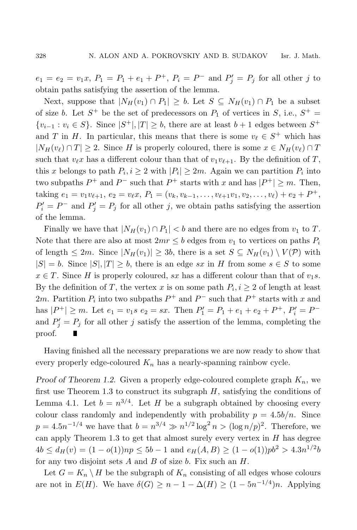$e_1 = e_2 = v_1 x, P_1 = P_1 + e_1 + P^+, P_i = P^-$  and  $P'_j = P_j$  for all other j to obtain paths satisfying the assertion of the lemma.

Next, suppose that  $|N_H(v_1) \cap P_1| \geq b$ . Let  $S \subseteq N_H(v_1) \cap P_1$  be a subset of size b. Let  $S^+$  be the set of predecessors on  $P_1$  of vertices in S, i.e.,  $S^+$  =  $\{v_{i-1}: v_i \in S\}$ . Since  $|S^+|, |T| \geq b$ , there are at least  $b+1$  edges between  $S^+$ and T in H. In particular, this means that there is some  $v_{\ell} \in S^+$  which has  $|N_H(v_\ell) \cap T| \geq 2$ . Since H is properly coloured, there is some  $x \in N_H(v_\ell) \cap T$ such that  $v_{\ell}x$  has a different colour than that of  $v_1v_{\ell+1}$ . By the definition of T, this x belongs to path  $P_i, i \geq 2$  with  $|P_i| \geq 2m$ . Again we can partition  $P_i$  into two subpaths  $P^+$  and  $P^-$  such that  $P^+$  starts with x and has  $|P^+| \geq m$ . Then, taking  $e_1 = v_1v_{\ell+1}, e_2 = v_{\ell}x, P_1 = (v_k, v_{k-1}, \ldots, v_{\ell+1}v_1, v_2, \ldots, v_{\ell}) + e_2 + P^+,$  $P'_{i} = P^{-}$  and  $P'_{j} = P_{j}$  for all other j, we obtain paths satisfying the assertion of the lemma.

Finally we have that  $|N_H(v_1) \cap P_1| < b$  and there are no edges from  $v_1$  to T. Note that there are also at most  $2mr \leq b$  edges from  $v_1$  to vertices on paths  $P_i$ of length  $\leq 2m$ . Since  $|N_H(v_1)| \geq 3b$ , there is a set  $S \subseteq N_H(v_1) \setminus V(\mathcal{P})$  with  $|S| = b$ . Since  $|S|, |T| \ge b$ , there is an edge sx in H from some  $s \in S$  to some  $x \in T$ . Since H is properly coloured, sx has a different colour than that of  $v_1s$ . By the definition of T, the vertex x is on some path  $P_i, i \geq 2$  of length at least 2m. Partition  $P_i$  into two subpaths  $P^+$  and  $P^-$  such that  $P^+$  starts with x and has  $|P^+| \ge m$ . Let  $e_1 = v_1 s$   $e_2 = sx$ . Then  $P'_1 = P_1 + e_1 + e_2 + P^+$ ,  $P'_i = P^$ and  $P'_{j} = P_{j}$  for all other j satisfy the assertion of the lemma, completing the proof. П

Having finished all the necessary preparations we are now ready to show that every properly edge-coloured  $K_n$  has a nearly-spanning rainbow cycle.

*Proof of Theorem 1.2.* Given a properly edge-coloured complete graph  $K_n$ , we first use Theorem 1.3 to construct its subgraph  $H$ , satisfying the conditions of Lemma 4.1. Let  $b = n^{3/4}$ . Let H be a subgraph obtained by choosing every colour class randomly and independently with probability  $p = 4.5b/n$ . Since  $p = 4.5n^{-1/4}$  we have that  $b = n^{3/4} \gg n^{1/2} \log^2 n > (\log n/p)^2$ . Therefore, we can apply Theorem 1.3 to get that almost surely every vertex in  $H$  has degree  $4b \le d_H(v) = (1 - o(1))np \le 5b - 1$  and  $e_H(A, B) \ge (1 - o(1))pb^2 > 4.3n^{1/2}b$ for any two disjoint sets  $A$  and  $B$  of size  $b$ . Fix such an  $H$ .

Let  $G = K_n \setminus H$  be the subgraph of  $K_n$  consisting of all edges whose colours are not in  $E(H)$ . We have  $\delta(G) \geq n - 1 - \Delta(H) \geq (1 - 5n^{-1/4})n$ . Applying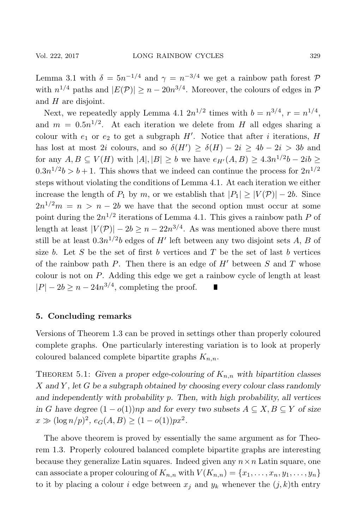Lemma 3.1 with  $\delta = 5n^{-1/4}$  and  $\gamma = n^{-3/4}$  we get a rainbow path forest  $\mathcal{P}$ with  $n^{1/4}$  paths and  $|E(\mathcal{P})| \geq n - 20n^{3/4}$ . Moreover, the colours of edges in  $\mathcal{P}$ and  $H$  are disjoint.

Next, we repeatedly apply Lemma 4.1  $2n^{1/2}$  times with  $b = n^{3/4}$ ,  $r = n^{1/4}$ . and  $m = 0.5n^{1/2}$ . At each iteration we delete from H all edges sharing a colour with  $e_1$  or  $e_2$  to get a subgraph  $H'$ . Notice that after *i* iterations,  $H$ has lost at most 2i colours, and so  $\delta(H') \geq \delta(H) - 2i \geq 4b - 2i > 3b$  and for any  $A, B \subseteq V(H)$  with  $|A|, |B| \geq b$  we have  $e_{H'}(A, B) \geq 4.3n^{1/2}b - 2ib \geq$  $0.3n^{1/2}b > b + 1$ . This shows that we indeed can continue the process for  $2n^{1/2}$ steps without violating the conditions of Lemma 4.1. At each iteration we either increase the length of  $P_1$  by m, or we establish that  $|P_1| \geq |V(\mathcal{P})| - 2b$ . Since  $2n^{1/2}m = n > n - 2b$  we have that the second option must occur at some point during the  $2n^{1/2}$  iterations of Lemma 4.1. This gives a rainbow path P of length at least  $|V(\mathcal{P})| - 2b \geq n - 22n^{3/4}$ . As was mentioned above there must still be at least  $0.3n^{1/2}b$  edges of H' left between any two disjoint sets A, B of size b. Let S be the set of first b vertices and T be the set of last b vertices of the rainbow path  $P$ . Then there is an edge of  $H'$  between  $S$  and  $T$  whose colour is not on P. Adding this edge we get a rainbow cycle of length at least  $|P| - 2b \ge n - 24n^{3/4}$ , completing the proof. Ц

#### **5. Concluding remarks**

Versions of Theorem 1.3 can be proved in settings other than properly coloured complete graphs. One particularly interesting variation is to look at properly coloured balanced complete bipartite graphs  $K_{n,n}$ .

THEOREM 5.1: Given a proper edge-colouring of  $K_{n,n}$  with bipartition classes X *and* Y *, let* G *be a subgraph obtained by choosing every colour class randomly and independently with probability* p*. Then, with high probability, all vertices in G* have degree  $(1 - o(1))$ *np* and for every two subsets  $A ⊆ X, B ⊆ Y$  of size  $x \gg (\log n/p)^2$ ,  $e_G(A, B) \ge (1 - o(1))px^2$ .

The above theorem is proved by essentially the same argument as for Theorem 1.3. Properly coloured balanced complete bipartite graphs are interesting because they generalize Latin squares. Indeed given any  $n \times n$  Latin square, one can associate a proper colouring of  $K_{n,n}$  with  $V(K_{n,n}) = \{x_1, \ldots, x_n, y_1, \ldots, y_n\}$ to it by placing a colour i edge between  $x_i$  and  $y_k$  whenever the  $(j, k)$ th entry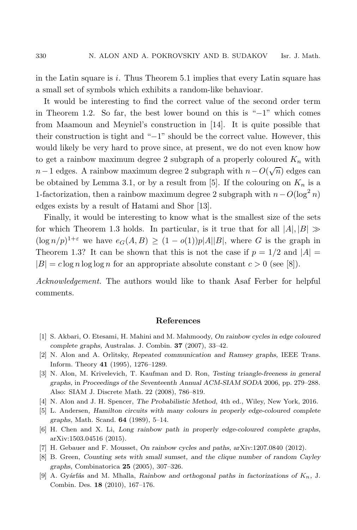in the Latin square is i. Thus Theorem 5.1 implies that every Latin square has a small set of symbols which exhibits a random-like behavioar.

It would be interesting to find the correct value of the second order term in Theorem 1.2. So far, the best lower bound on this is "−1" which comes from Maamoun and Meyniel's construction in [14]. It is quite possible that their construction is tight and "−1" should be the correct value. However, this would likely be very hard to prove since, at present, we do not even know how to get a rainbow maximum degree 2 subgraph of a properly coloured  $K_n$  with  $n-1$  edges. A rainbow maximum degree 2 subgraph with  $n-O(\sqrt{n})$  edges can be obtained by Lemma 3.1, or by a result from [5]. If the colouring on  $K_n$  is a 1-factorization, then a rainbow maximum degree 2 subgraph with  $n - O(\log^2 n)$ edges exists by a result of Hatami and Shor [13].

Finally, it would be interesting to know what is the smallest size of the sets for which Theorem 1.3 holds. In particular, is it true that for all  $|A|, |B| \gg$  $(\log n/p)^{1+\varepsilon}$  we have  $e_G(A, B) \geq (1 - o(1))p|A||B|$ , where G is the graph in Theorem 1.3? It can be shown that this is not the case if  $p = 1/2$  and  $|A| =$  $|B| = c \log n \log \log n$  for an appropriate absolute constant  $c > 0$  (see [8]).

*Acknowledgement.* The authors would like to thank Asaf Ferber for helpful comments.

#### **References**

- [1] S. Akbari, O. Etesami, H. Mahini and M. Mahmoody, *On rainbow cycles in edge coloured complete graphs,* Australas. J. Combin. **37** (2007), 33–42.
- [2] N. Alon and A. Orlitsky, *Repeated communication and Ramsey graphs,* IEEE Trans. Inform. Theory **41** (1995), 1276–1289.
- [3] N. Alon, M. Krivelevich, T. Kaufman and D. Ron, *Testing triangle-freeness in general graphs,* in *Proceedings of the Seventeenth Annual ACM-SIAM SODA* 2006, pp. 279–288. Also: SIAM J. Discrete Math. 22 (2008), 786–819.
- [4] N. Alon and J. H. Spencer, *The Probabilistic Method*, 4th ed., Wiley, New York, 2016.
- [5] L. Andersen, *Hamilton circuits with many colours in properly edge-coloured complete graphs,* Math. Scand. **64** (1989), 5–14.
- [6] H. Chen and X. Li, *Long rainbow path in properly edge-coloured complete graphs*, arXiv:1503.04516 (2015).
- [7] H. Gebauer and F. Mousset, *On rainbow cycles and paths,* arXiv:1207.0840 (2012).
- [8] B. Green, *Counting sets with small sumset, and the clique number of random Cayley graphs,* Combinatorica **25** (2005), 307–326.
- [9] A. Gyárfás and M. Mhalla, *Rainbow and orthogonal paths in factorizations of*  $K_n$ , J. Combin. Des. **18** (2010), 167–176.